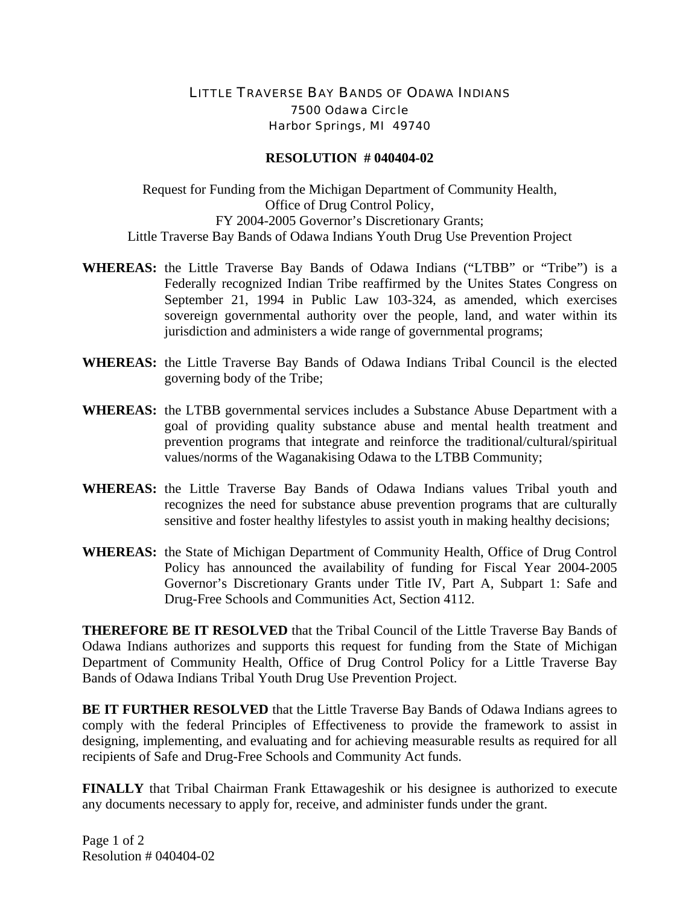## LITTLE TRAVERSE BAY BANDS OF ODAWA INDIANS 7500 Odawa Circle Harbor Springs, MI 49740

## **RESOLUTION # 040404-02**

Request for Funding from the Michigan Department of Community Health, Office of Drug Control Policy, FY 2004-2005 Governor's Discretionary Grants; Little Traverse Bay Bands of Odawa Indians Youth Drug Use Prevention Project

- **WHEREAS:** the Little Traverse Bay Bands of Odawa Indians ("LTBB" or "Tribe") is a Federally recognized Indian Tribe reaffirmed by the Unites States Congress on September 21, 1994 in Public Law 103-324, as amended, which exercises sovereign governmental authority over the people, land, and water within its jurisdiction and administers a wide range of governmental programs;
- **WHEREAS:** the Little Traverse Bay Bands of Odawa Indians Tribal Council is the elected governing body of the Tribe;
- **WHEREAS:** the LTBB governmental services includes a Substance Abuse Department with a goal of providing quality substance abuse and mental health treatment and prevention programs that integrate and reinforce the traditional/cultural/spiritual values/norms of the Waganakising Odawa to the LTBB Community;
- **WHEREAS:** the Little Traverse Bay Bands of Odawa Indians values Tribal youth and recognizes the need for substance abuse prevention programs that are culturally sensitive and foster healthy lifestyles to assist youth in making healthy decisions;
- **WHEREAS:** the State of Michigan Department of Community Health, Office of Drug Control Policy has announced the availability of funding for Fiscal Year 2004-2005 Governor's Discretionary Grants under Title IV, Part A, Subpart 1: Safe and Drug-Free Schools and Communities Act, Section 4112.

**THEREFORE BE IT RESOLVED** that the Tribal Council of the Little Traverse Bay Bands of Odawa Indians authorizes and supports this request for funding from the State of Michigan Department of Community Health, Office of Drug Control Policy for a Little Traverse Bay Bands of Odawa Indians Tribal Youth Drug Use Prevention Project.

**BE IT FURTHER RESOLVED** that the Little Traverse Bay Bands of Odawa Indians agrees to comply with the federal Principles of Effectiveness to provide the framework to assist in designing, implementing, and evaluating and for achieving measurable results as required for all recipients of Safe and Drug-Free Schools and Community Act funds.

**FINALLY** that Tribal Chairman Frank Ettawageshik or his designee is authorized to execute any documents necessary to apply for, receive, and administer funds under the grant.

Page 1 of 2 Resolution # 040404-02